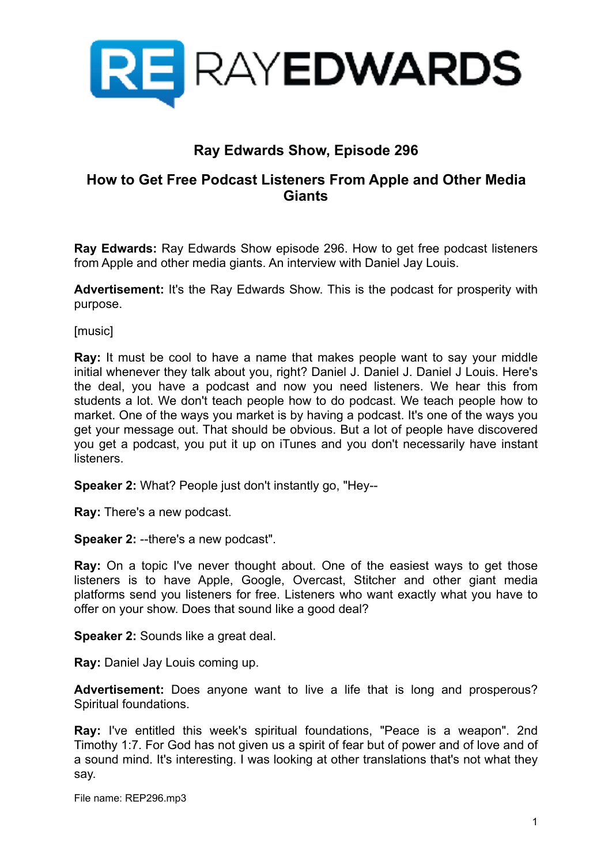

# **Ray Edwards Show, Episode 296**

# **How to Get Free Podcast Listeners From Apple and Other Media Giants**

**Ray Edwards:** Ray Edwards Show episode 296. How to get free podcast listeners from Apple and other media giants. An interview with Daniel Jay Louis.

**Advertisement:** It's the Ray Edwards Show. This is the podcast for prosperity with purpose.

[music]

**Ray:** It must be cool to have a name that makes people want to say your middle initial whenever they talk about you, right? Daniel J. Daniel J. Daniel J Louis. Here's the deal, you have a podcast and now you need listeners. We hear this from students a lot. We don't teach people how to do podcast. We teach people how to market. One of the ways you market is by having a podcast. It's one of the ways you get your message out. That should be obvious. But a lot of people have discovered you get a podcast, you put it up on iTunes and you don't necessarily have instant listeners.

**Speaker 2:** What? People just don't instantly go, "Hey--

**Ray:** There's a new podcast.

**Speaker 2:** --there's a new podcast".

**Ray:** On a topic I've never thought about. One of the easiest ways to get those listeners is to have Apple, Google, Overcast, Stitcher and other giant media platforms send you listeners for free. Listeners who want exactly what you have to offer on your show. Does that sound like a good deal?

**Speaker 2:** Sounds like a great deal.

**Ray:** Daniel Jay Louis coming up.

**Advertisement:** Does anyone want to live a life that is long and prosperous? Spiritual foundations.

**Ray:** I've entitled this week's spiritual foundations, "Peace is a weapon". 2nd Timothy 1:7. For God has not given us a spirit of fear but of power and of love and of a sound mind. It's interesting. I was looking at other translations that's not what they say.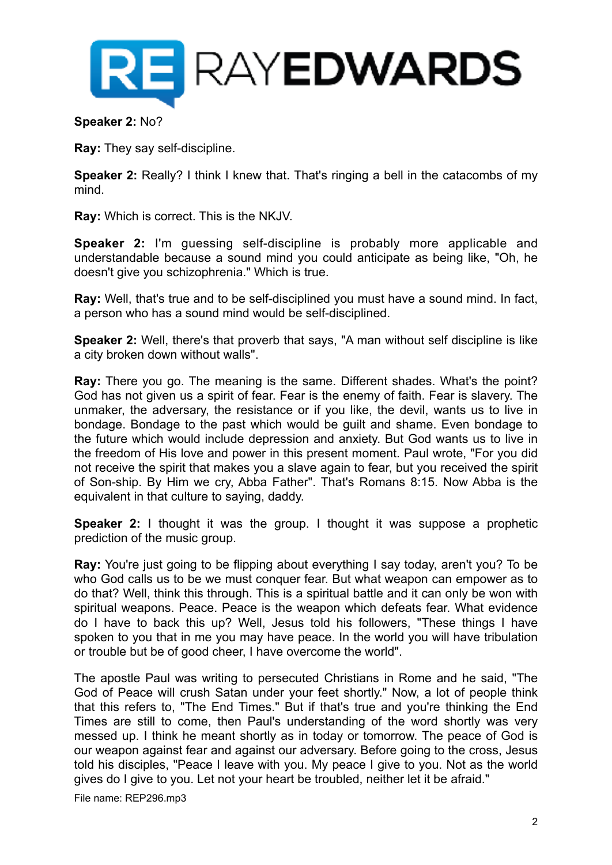

**Speaker 2:** No?

**Ray:** They say self-discipline.

**Speaker 2:** Really? I think I knew that. That's ringing a bell in the catacombs of my mind.

**Ray:** Which is correct. This is the NKJV.

**Speaker 2:** I'm guessing self-discipline is probably more applicable and understandable because a sound mind you could anticipate as being like, "Oh, he doesn't give you schizophrenia." Which is true.

**Ray:** Well, that's true and to be self-disciplined you must have a sound mind. In fact, a person who has a sound mind would be self-disciplined.

**Speaker 2:** Well, there's that proverb that says, "A man without self discipline is like a city broken down without walls".

**Ray:** There you go. The meaning is the same. Different shades. What's the point? God has not given us a spirit of fear. Fear is the enemy of faith. Fear is slavery. The unmaker, the adversary, the resistance or if you like, the devil, wants us to live in bondage. Bondage to the past which would be guilt and shame. Even bondage to the future which would include depression and anxiety. But God wants us to live in the freedom of His love and power in this present moment. Paul wrote, "For you did not receive the spirit that makes you a slave again to fear, but you received the spirit of Son-ship. By Him we cry, Abba Father". That's Romans 8:15. Now Abba is the equivalent in that culture to saying, daddy.

**Speaker 2:** I thought it was the group. I thought it was suppose a prophetic prediction of the music group.

**Ray:** You're just going to be flipping about everything I say today, aren't you? To be who God calls us to be we must conquer fear. But what weapon can empower as to do that? Well, think this through. This is a spiritual battle and it can only be won with spiritual weapons. Peace. Peace is the weapon which defeats fear. What evidence do I have to back this up? Well, Jesus told his followers, "These things I have spoken to you that in me you may have peace. In the world you will have tribulation or trouble but be of good cheer, I have overcome the world".

The apostle Paul was writing to persecuted Christians in Rome and he said, "The God of Peace will crush Satan under your feet shortly." Now, a lot of people think that this refers to, "The End Times." But if that's true and you're thinking the End Times are still to come, then Paul's understanding of the word shortly was very messed up. I think he meant shortly as in today or tomorrow. The peace of God is our weapon against fear and against our adversary. Before going to the cross, Jesus told his disciples, "Peace I leave with you. My peace I give to you. Not as the world gives do I give to you. Let not your heart be troubled, neither let it be afraid."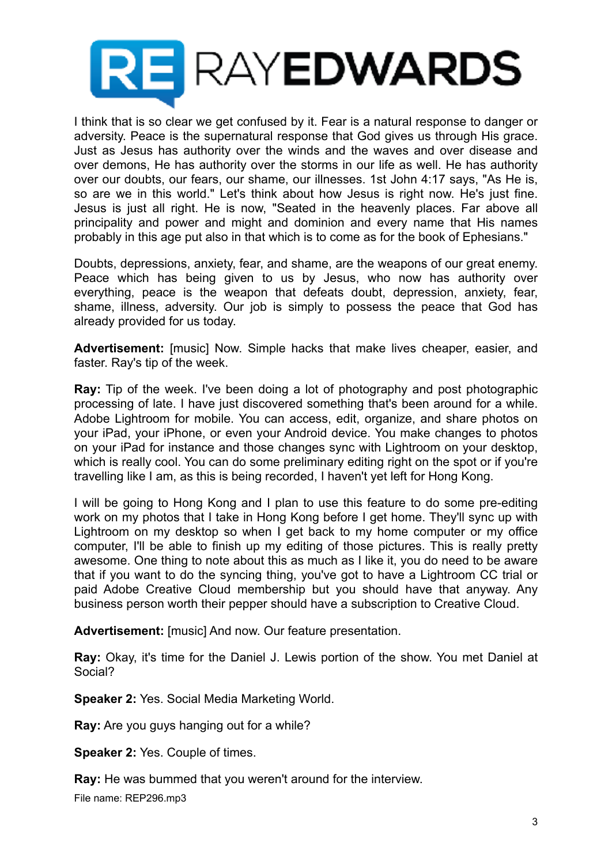

I think that is so clear we get confused by it. Fear is a natural response to danger or adversity. Peace is the supernatural response that God gives us through His grace. Just as Jesus has authority over the winds and the waves and over disease and over demons, He has authority over the storms in our life as well. He has authority over our doubts, our fears, our shame, our illnesses. 1st John 4:17 says, "As He is, so are we in this world." Let's think about how Jesus is right now. He's just fine. Jesus is just all right. He is now, "Seated in the heavenly places. Far above all principality and power and might and dominion and every name that His names probably in this age put also in that which is to come as for the book of Ephesians."

Doubts, depressions, anxiety, fear, and shame, are the weapons of our great enemy. Peace which has being given to us by Jesus, who now has authority over everything, peace is the weapon that defeats doubt, depression, anxiety, fear, shame, illness, adversity. Our job is simply to possess the peace that God has already provided for us today.

**Advertisement:** [music] Now. Simple hacks that make lives cheaper, easier, and faster. Ray's tip of the week.

**Ray:** Tip of the week. I've been doing a lot of photography and post photographic processing of late. I have just discovered something that's been around for a while. Adobe Lightroom for mobile. You can access, edit, organize, and share photos on your iPad, your iPhone, or even your Android device. You make changes to photos on your iPad for instance and those changes sync with Lightroom on your desktop, which is really cool. You can do some preliminary editing right on the spot or if you're travelling like I am, as this is being recorded, I haven't yet left for Hong Kong.

I will be going to Hong Kong and I plan to use this feature to do some pre-editing work on my photos that I take in Hong Kong before I get home. They'll sync up with Lightroom on my desktop so when I get back to my home computer or my office computer, I'll be able to finish up my editing of those pictures. This is really pretty awesome. One thing to note about this as much as I like it, you do need to be aware that if you want to do the syncing thing, you've got to have a Lightroom CC trial or paid Adobe Creative Cloud membership but you should have that anyway. Any business person worth their pepper should have a subscription to Creative Cloud.

**Advertisement:** [music] And now. Our feature presentation.

**Ray:** Okay, it's time for the Daniel J. Lewis portion of the show. You met Daniel at Social?

**Speaker 2:** Yes. Social Media Marketing World.

**Ray:** Are you guys hanging out for a while?

**Speaker 2:** Yes. Couple of times.

**Ray:** He was bummed that you weren't around for the interview.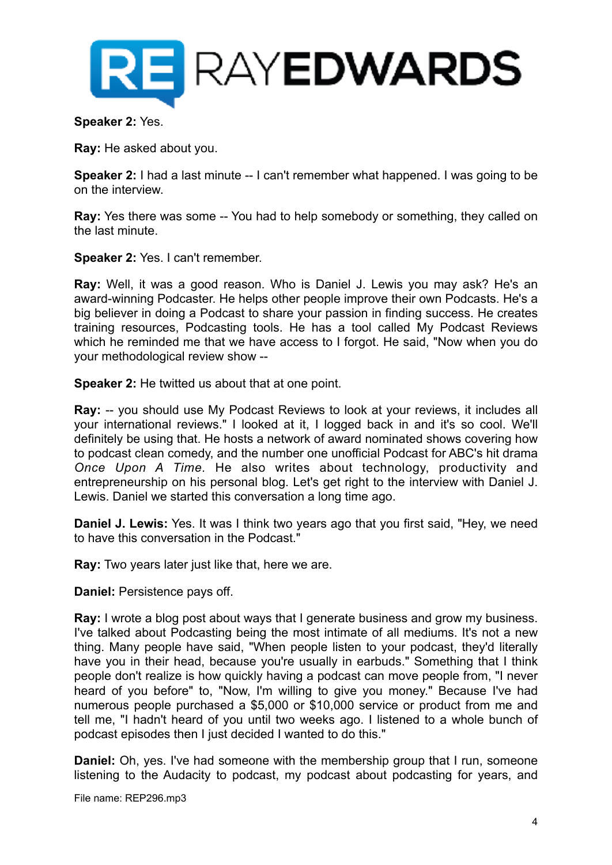

#### **Speaker 2:** Yes.

**Ray:** He asked about you.

**Speaker 2:** I had a last minute -- I can't remember what happened. I was going to be on the interview.

**Ray:** Yes there was some -- You had to help somebody or something, they called on the last minute.

**Speaker 2:** Yes. I can't remember.

**Ray:** Well, it was a good reason. Who is Daniel J. Lewis you may ask? He's an award-winning Podcaster. He helps other people improve their own Podcasts. He's a big believer in doing a Podcast to share your passion in finding success. He creates training resources, Podcasting tools. He has a tool called My Podcast Reviews which he reminded me that we have access to I forgot. He said, "Now when you do your methodological review show --

**Speaker 2:** He twitted us about that at one point.

**Ray:** -- you should use My Podcast Reviews to look at your reviews, it includes all your international reviews." I looked at it, I logged back in and it's so cool. We'll definitely be using that. He hosts a network of award nominated shows covering how to podcast clean comedy, and the number one unofficial Podcast for ABC's hit drama *Once Upon A Time.* He also writes about technology, productivity and entrepreneurship on his personal blog. Let's get right to the interview with Daniel J. Lewis. Daniel we started this conversation a long time ago.

**Daniel J. Lewis:** Yes. It was I think two years ago that you first said, "Hey, we need to have this conversation in the Podcast."

**Ray:** Two years later just like that, here we are.

**Daniel:** Persistence pays off.

**Ray:** I wrote a blog post about ways that I generate business and grow my business. I've talked about Podcasting being the most intimate of all mediums. It's not a new thing. Many people have said, "When people listen to your podcast, they'd literally have you in their head, because you're usually in earbuds." Something that I think people don't realize is how quickly having a podcast can move people from, "I never heard of you before" to, "Now, I'm willing to give you money." Because I've had numerous people purchased a \$5,000 or \$10,000 service or product from me and tell me, "I hadn't heard of you until two weeks ago. I listened to a whole bunch of podcast episodes then I just decided I wanted to do this."

**Daniel:** Oh, yes. I've had someone with the membership group that I run, someone listening to the Audacity to podcast, my podcast about podcasting for years, and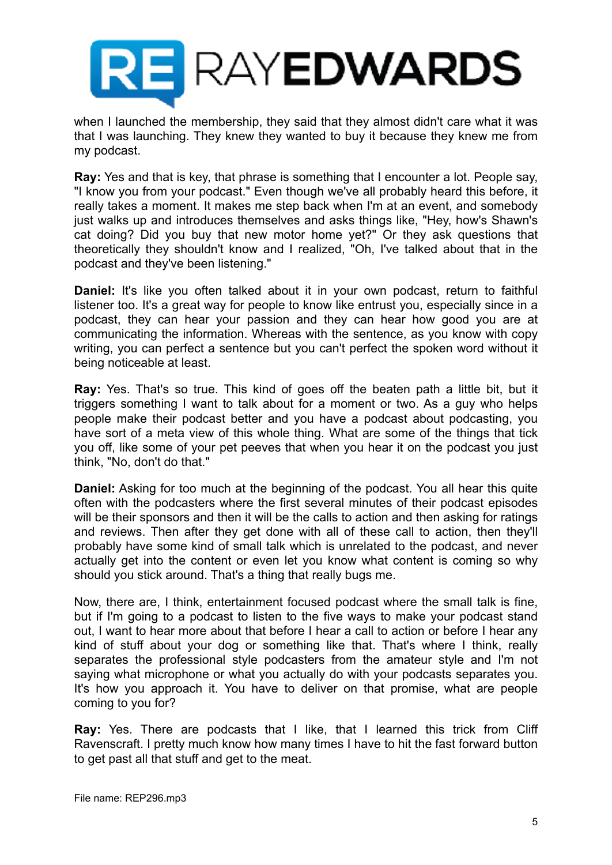

when I launched the membership, they said that they almost didn't care what it was that I was launching. They knew they wanted to buy it because they knew me from my podcast.

**Ray:** Yes and that is key, that phrase is something that I encounter a lot. People say, "I know you from your podcast." Even though we've all probably heard this before, it really takes a moment. It makes me step back when I'm at an event, and somebody just walks up and introduces themselves and asks things like, "Hey, how's Shawn's cat doing? Did you buy that new motor home yet?" Or they ask questions that theoretically they shouldn't know and I realized, "Oh, I've talked about that in the podcast and they've been listening."

**Daniel:** It's like you often talked about it in your own podcast, return to faithful listener too. It's a great way for people to know like entrust you, especially since in a podcast, they can hear your passion and they can hear how good you are at communicating the information. Whereas with the sentence, as you know with copy writing, you can perfect a sentence but you can't perfect the spoken word without it being noticeable at least.

**Ray:** Yes. That's so true. This kind of goes off the beaten path a little bit, but it triggers something I want to talk about for a moment or two. As a guy who helps people make their podcast better and you have a podcast about podcasting, you have sort of a meta view of this whole thing. What are some of the things that tick you off, like some of your pet peeves that when you hear it on the podcast you just think, "No, don't do that."

**Daniel:** Asking for too much at the beginning of the podcast. You all hear this quite often with the podcasters where the first several minutes of their podcast episodes will be their sponsors and then it will be the calls to action and then asking for ratings and reviews. Then after they get done with all of these call to action, then they'll probably have some kind of small talk which is unrelated to the podcast, and never actually get into the content or even let you know what content is coming so why should you stick around. That's a thing that really bugs me.

Now, there are, I think, entertainment focused podcast where the small talk is fine, but if I'm going to a podcast to listen to the five ways to make your podcast stand out, I want to hear more about that before I hear a call to action or before I hear any kind of stuff about your dog or something like that. That's where I think, really separates the professional style podcasters from the amateur style and I'm not saying what microphone or what you actually do with your podcasts separates you. It's how you approach it. You have to deliver on that promise, what are people coming to you for?

**Ray:** Yes. There are podcasts that I like, that I learned this trick from Cliff Ravenscraft. I pretty much know how many times I have to hit the fast forward button to get past all that stuff and get to the meat.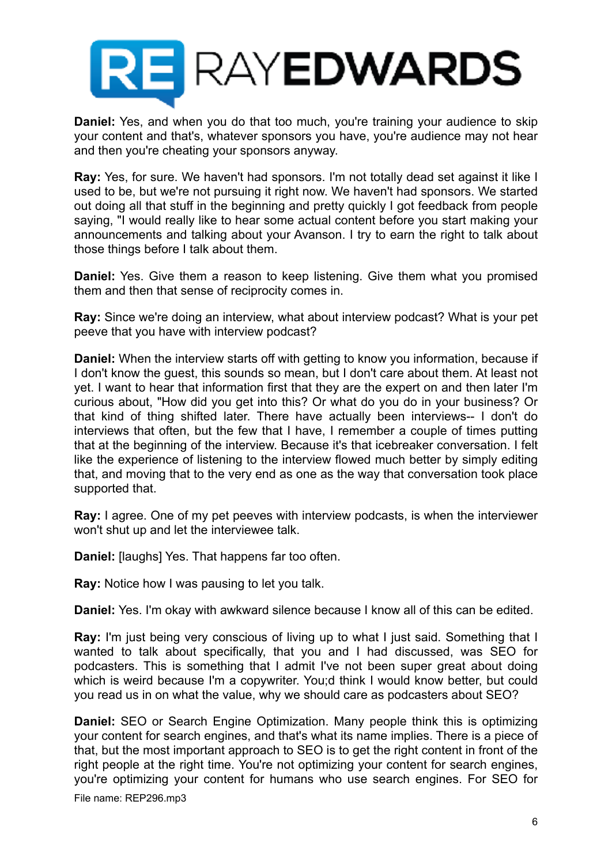

**Daniel:** Yes, and when you do that too much, you're training your audience to skip your content and that's, whatever sponsors you have, you're audience may not hear and then you're cheating your sponsors anyway.

**Ray:** Yes, for sure. We haven't had sponsors. I'm not totally dead set against it like I used to be, but we're not pursuing it right now. We haven't had sponsors. We started out doing all that stuff in the beginning and pretty quickly I got feedback from people saying, "I would really like to hear some actual content before you start making your announcements and talking about your Avanson. I try to earn the right to talk about those things before I talk about them.

**Daniel:** Yes. Give them a reason to keep listening. Give them what you promised them and then that sense of reciprocity comes in.

**Ray:** Since we're doing an interview, what about interview podcast? What is your pet peeve that you have with interview podcast?

**Daniel:** When the interview starts off with getting to know you information, because if I don't know the guest, this sounds so mean, but I don't care about them. At least not yet. I want to hear that information first that they are the expert on and then later I'm curious about, "How did you get into this? Or what do you do in your business? Or that kind of thing shifted later. There have actually been interviews-- I don't do interviews that often, but the few that I have, I remember a couple of times putting that at the beginning of the interview. Because it's that icebreaker conversation. I felt like the experience of listening to the interview flowed much better by simply editing that, and moving that to the very end as one as the way that conversation took place supported that.

**Ray:** I agree. One of my pet peeves with interview podcasts, is when the interviewer won't shut up and let the interviewee talk.

**Daniel:** [laughs] Yes. That happens far too often.

**Ray:** Notice how I was pausing to let you talk.

**Daniel:** Yes. I'm okay with awkward silence because I know all of this can be edited.

**Ray:** I'm just being very conscious of living up to what I just said. Something that I wanted to talk about specifically, that you and I had discussed, was SEO for podcasters. This is something that I admit I've not been super great about doing which is weird because I'm a copywriter. You;d think I would know better, but could you read us in on what the value, why we should care as podcasters about SEO?

**Daniel:** SEO or Search Engine Optimization. Many people think this is optimizing your content for search engines, and that's what its name implies. There is a piece of that, but the most important approach to SEO is to get the right content in front of the right people at the right time. You're not optimizing your content for search engines, you're optimizing your content for humans who use search engines. For SEO for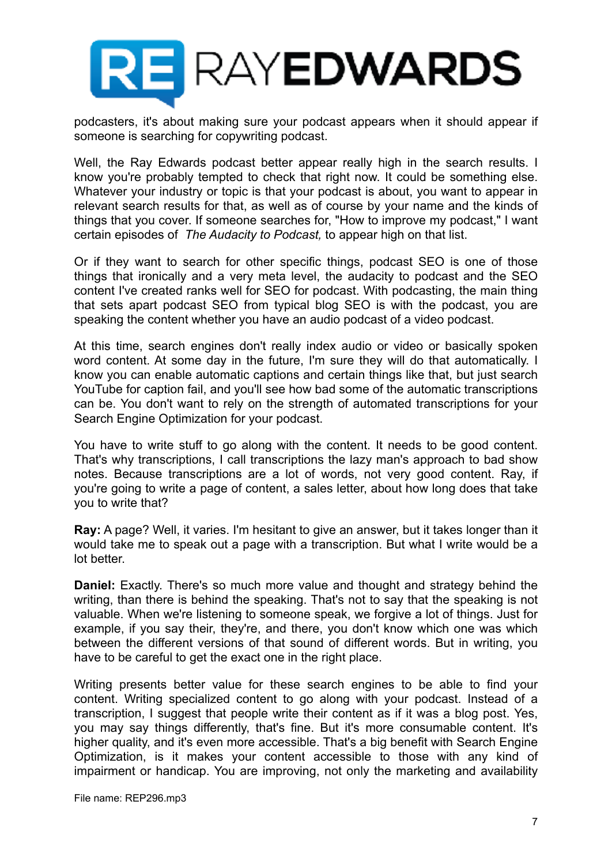

podcasters, it's about making sure your podcast appears when it should appear if someone is searching for copywriting podcast.

Well, the Ray Edwards podcast better appear really high in the search results. I know you're probably tempted to check that right now. It could be something else. Whatever your industry or topic is that your podcast is about, you want to appear in relevant search results for that, as well as of course by your name and the kinds of things that you cover. If someone searches for, "How to improve my podcast," I want certain episodes of *The Audacity to Podcast,* to appear high on that list.

Or if they want to search for other specific things, podcast SEO is one of those things that ironically and a very meta level, the audacity to podcast and the SEO content I've created ranks well for SEO for podcast. With podcasting, the main thing that sets apart podcast SEO from typical blog SEO is with the podcast, you are speaking the content whether you have an audio podcast of a video podcast.

At this time, search engines don't really index audio or video or basically spoken word content. At some day in the future, I'm sure they will do that automatically. I know you can enable automatic captions and certain things like that, but just search YouTube for caption fail, and you'll see how bad some of the automatic transcriptions can be. You don't want to rely on the strength of automated transcriptions for your Search Engine Optimization for your podcast.

You have to write stuff to go along with the content. It needs to be good content. That's why transcriptions, I call transcriptions the lazy man's approach to bad show notes. Because transcriptions are a lot of words, not very good content. Ray, if you're going to write a page of content, a sales letter, about how long does that take you to write that?

**Ray:** A page? Well, it varies. I'm hesitant to give an answer, but it takes longer than it would take me to speak out a page with a transcription. But what I write would be a lot better.

**Daniel:** Exactly. There's so much more value and thought and strategy behind the writing, than there is behind the speaking. That's not to say that the speaking is not valuable. When we're listening to someone speak, we forgive a lot of things. Just for example, if you say their, they're, and there, you don't know which one was which between the different versions of that sound of different words. But in writing, you have to be careful to get the exact one in the right place.

Writing presents better value for these search engines to be able to find your content. Writing specialized content to go along with your podcast. Instead of a transcription, I suggest that people write their content as if it was a blog post. Yes, you may say things differently, that's fine. But it's more consumable content. It's higher quality, and it's even more accessible. That's a big benefit with Search Engine Optimization, is it makes your content accessible to those with any kind of impairment or handicap. You are improving, not only the marketing and availability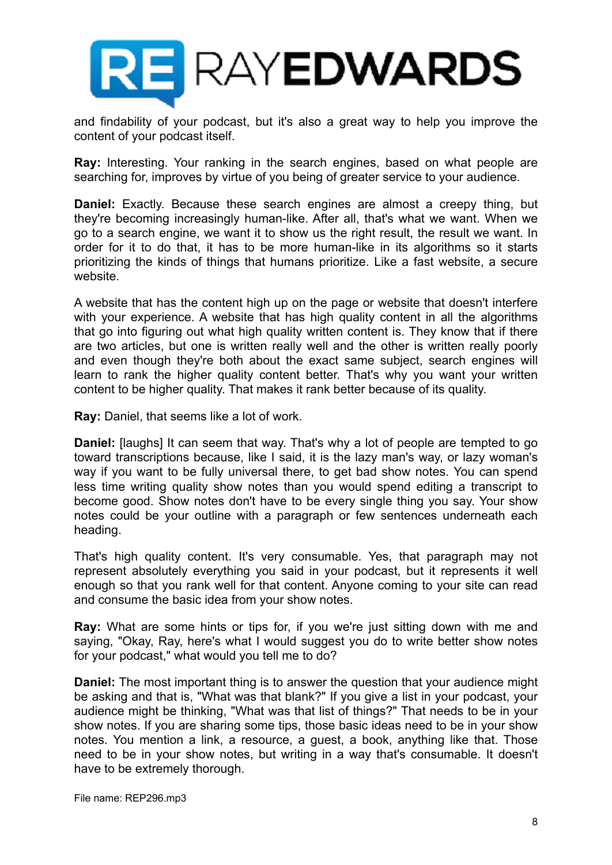

and findability of your podcast, but it's also a great way to help you improve the content of your podcast itself.

**Ray:** Interesting. Your ranking in the search engines, based on what people are searching for, improves by virtue of you being of greater service to your audience.

**Daniel:** Exactly. Because these search engines are almost a creepy thing, but they're becoming increasingly human-like. After all, that's what we want. When we go to a search engine, we want it to show us the right result, the result we want. In order for it to do that, it has to be more human-like in its algorithms so it starts prioritizing the kinds of things that humans prioritize. Like a fast website, a secure website.

A website that has the content high up on the page or website that doesn't interfere with your experience. A website that has high quality content in all the algorithms that go into figuring out what high quality written content is. They know that if there are two articles, but one is written really well and the other is written really poorly and even though they're both about the exact same subject, search engines will learn to rank the higher quality content better. That's why you want your written content to be higher quality. That makes it rank better because of its quality.

**Ray:** Daniel, that seems like a lot of work.

**Daniel:** [laughs] It can seem that way. That's why a lot of people are tempted to go toward transcriptions because, like I said, it is the lazy man's way, or lazy woman's way if you want to be fully universal there, to get bad show notes. You can spend less time writing quality show notes than you would spend editing a transcript to become good. Show notes don't have to be every single thing you say. Your show notes could be your outline with a paragraph or few sentences underneath each heading.

That's high quality content. It's very consumable. Yes, that paragraph may not represent absolutely everything you said in your podcast, but it represents it well enough so that you rank well for that content. Anyone coming to your site can read and consume the basic idea from your show notes.

**Ray:** What are some hints or tips for, if you we're just sitting down with me and saying, "Okay, Ray, here's what I would suggest you do to write better show notes for your podcast," what would you tell me to do?

**Daniel:** The most important thing is to answer the question that your audience might be asking and that is, "What was that blank?" If you give a list in your podcast, your audience might be thinking, "What was that list of things?" That needs to be in your show notes. If you are sharing some tips, those basic ideas need to be in your show notes. You mention a link, a resource, a guest, a book, anything like that. Those need to be in your show notes, but writing in a way that's consumable. It doesn't have to be extremely thorough.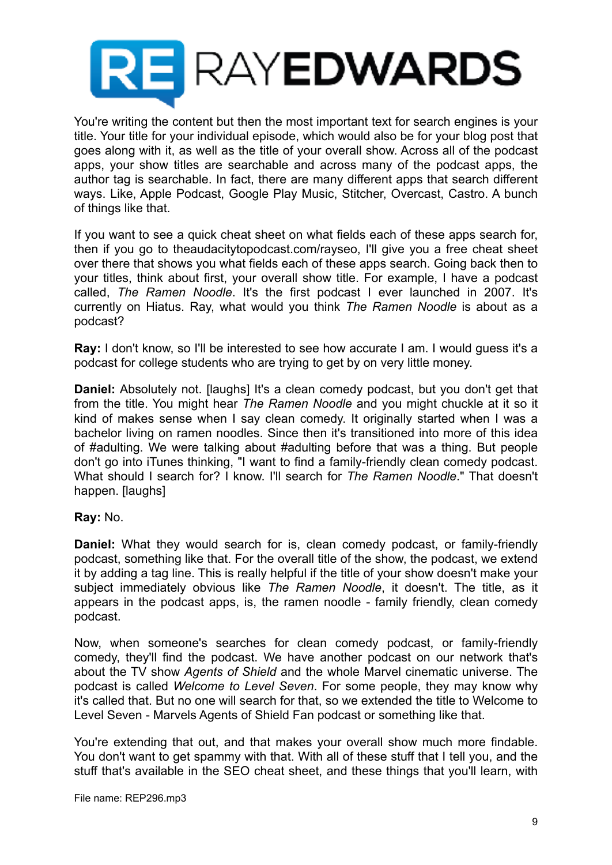

You're writing the content but then the most important text for search engines is your title. Your title for your individual episode, which would also be for your blog post that goes along with it, as well as the title of your overall show. Across all of the podcast apps, your show titles are searchable and across many of the podcast apps, the author tag is searchable. In fact, there are many different apps that search different ways. Like, Apple Podcast, Google Play Music, Stitcher, Overcast, Castro. A bunch of things like that.

If you want to see a quick cheat sheet on what fields each of these apps search for, then if you go to theaudacitytopodcast.com/rayseo, I'll give you a free cheat sheet over there that shows you what fields each of these apps search. Going back then to your titles, think about first, your overall show title. For example, I have a podcast called, *The Ramen Noodle*. It's the first podcast I ever launched in 2007. It's currently on Hiatus. Ray, what would you think *The Ramen Noodle* is about as a podcast?

**Ray:** I don't know, so I'll be interested to see how accurate I am. I would guess it's a podcast for college students who are trying to get by on very little money.

**Daniel:** Absolutely not. [laughs] It's a clean comedy podcast, but you don't get that from the title. You might hear *The Ramen Noodle* and you might chuckle at it so it kind of makes sense when I say clean comedy. It originally started when I was a bachelor living on ramen noodles. Since then it's transitioned into more of this idea of #adulting. We were talking about #adulting before that was a thing. But people don't go into iTunes thinking, "I want to find a family-friendly clean comedy podcast. What should I search for? I know. I'll search for *The Ramen Noodle*." That doesn't happen. [laughs]

#### **Ray:** No.

**Daniel:** What they would search for is, clean comedy podcast, or family-friendly podcast, something like that. For the overall title of the show, the podcast, we extend it by adding a tag line. This is really helpful if the title of your show doesn't make your subject immediately obvious like *The Ramen Noodle*, it doesn't. The title, as it appears in the podcast apps, is, the ramen noodle - family friendly, clean comedy podcast.

Now, when someone's searches for clean comedy podcast, or family-friendly comedy, they'll find the podcast. We have another podcast on our network that's about the TV show *Agents of Shield* and the whole Marvel cinematic universe. The podcast is called *Welcome to Level Seven*. For some people, they may know why it's called that. But no one will search for that, so we extended the title to Welcome to Level Seven - Marvels Agents of Shield Fan podcast or something like that.

You're extending that out, and that makes your overall show much more findable. You don't want to get spammy with that. With all of these stuff that I tell you, and the stuff that's available in the SEO cheat sheet, and these things that you'll learn, with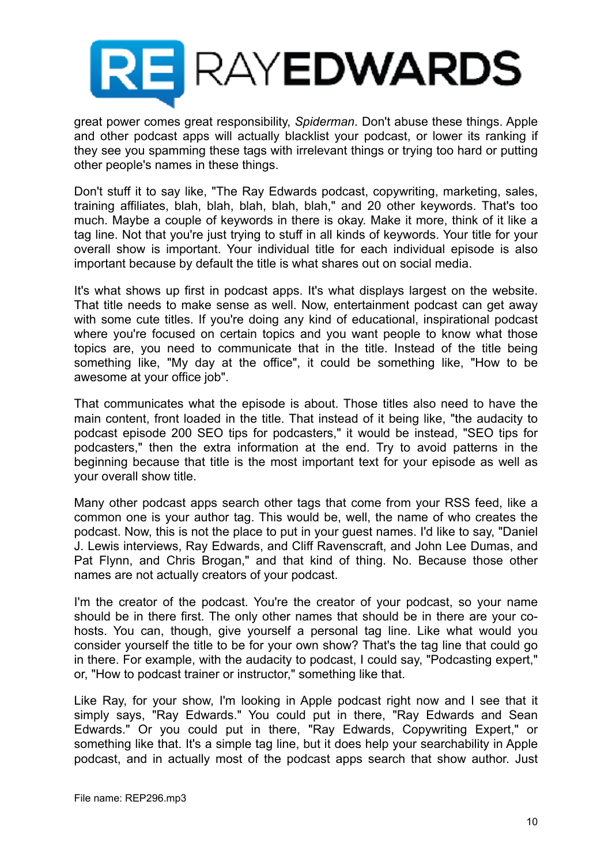

great power comes great responsibility, *Spiderman*. Don't abuse these things. Apple and other podcast apps will actually blacklist your podcast, or lower its ranking if they see you spamming these tags with irrelevant things or trying too hard or putting other people's names in these things.

Don't stuff it to say like, "The Ray Edwards podcast, copywriting, marketing, sales, training affiliates, blah, blah, blah, blah, blah," and 20 other keywords. That's too much. Maybe a couple of keywords in there is okay. Make it more, think of it like a tag line. Not that you're just trying to stuff in all kinds of keywords. Your title for your overall show is important. Your individual title for each individual episode is also important because by default the title is what shares out on social media.

It's what shows up first in podcast apps. It's what displays largest on the website. That title needs to make sense as well. Now, entertainment podcast can get away with some cute titles. If you're doing any kind of educational, inspirational podcast where you're focused on certain topics and you want people to know what those topics are, you need to communicate that in the title. Instead of the title being something like, "My day at the office", it could be something like, "How to be awesome at your office job".

That communicates what the episode is about. Those titles also need to have the main content, front loaded in the title. That instead of it being like, "the audacity to podcast episode 200 SEO tips for podcasters," it would be instead, "SEO tips for podcasters," then the extra information at the end. Try to avoid patterns in the beginning because that title is the most important text for your episode as well as your overall show title.

Many other podcast apps search other tags that come from your RSS feed, like a common one is your author tag. This would be, well, the name of who creates the podcast. Now, this is not the place to put in your guest names. I'd like to say, "Daniel J. Lewis interviews, Ray Edwards, and Cliff Ravenscraft, and John Lee Dumas, and Pat Flynn, and Chris Brogan," and that kind of thing. No. Because those other names are not actually creators of your podcast.

I'm the creator of the podcast. You're the creator of your podcast, so your name should be in there first. The only other names that should be in there are your cohosts. You can, though, give yourself a personal tag line. Like what would you consider yourself the title to be for your own show? That's the tag line that could go in there. For example, with the audacity to podcast, I could say, "Podcasting expert," or, "How to podcast trainer or instructor," something like that.

Like Ray, for your show, I'm looking in Apple podcast right now and I see that it simply says, "Ray Edwards." You could put in there, "Ray Edwards and Sean Edwards." Or you could put in there, "Ray Edwards, Copywriting Expert," or something like that. It's a simple tag line, but it does help your searchability in Apple podcast, and in actually most of the podcast apps search that show author. Just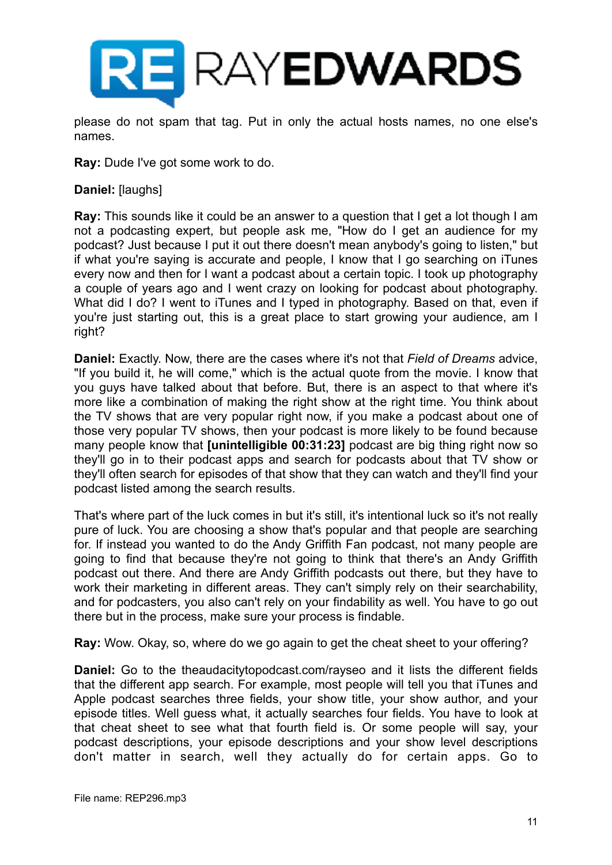

please do not spam that tag. Put in only the actual hosts names, no one else's names.

**Ray:** Dude I've got some work to do.

#### **Daniel:** [laughs]

**Ray:** This sounds like it could be an answer to a question that I get a lot though I am not a podcasting expert, but people ask me, "How do I get an audience for my podcast? Just because I put it out there doesn't mean anybody's going to listen," but if what you're saying is accurate and people, I know that I go searching on iTunes every now and then for I want a podcast about a certain topic. I took up photography a couple of years ago and I went crazy on looking for podcast about photography. What did I do? I went to iTunes and I typed in photography. Based on that, even if you're just starting out, this is a great place to start growing your audience, am I right?

**Daniel:** Exactly. Now, there are the cases where it's not that *Field of Dreams* advice, "If you build it, he will come," which is the actual quote from the movie. I know that you guys have talked about that before. But, there is an aspect to that where it's more like a combination of making the right show at the right time. You think about the TV shows that are very popular right now, if you make a podcast about one of those very popular TV shows, then your podcast is more likely to be found because many people know that **[unintelligible 00:31:23]** podcast are big thing right now so they'll go in to their podcast apps and search for podcasts about that TV show or they'll often search for episodes of that show that they can watch and they'll find your podcast listed among the search results.

That's where part of the luck comes in but it's still, it's intentional luck so it's not really pure of luck. You are choosing a show that's popular and that people are searching for. If instead you wanted to do the Andy Griffith Fan podcast, not many people are going to find that because they're not going to think that there's an Andy Griffith podcast out there. And there are Andy Griffith podcasts out there, but they have to work their marketing in different areas. They can't simply rely on their searchability, and for podcasters, you also can't rely on your findability as well. You have to go out there but in the process, make sure your process is findable.

**Ray:** Wow. Okay, so, where do we go again to get the cheat sheet to your offering?

**Daniel:** Go to the theaudacitytopodcast.com/rayseo and it lists the different fields that the different app search. For example, most people will tell you that iTunes and Apple podcast searches three fields, your show title, your show author, and your episode titles. Well guess what, it actually searches four fields. You have to look at that cheat sheet to see what that fourth field is. Or some people will say, your podcast descriptions, your episode descriptions and your show level descriptions don't matter in search, well they actually do for certain apps. Go to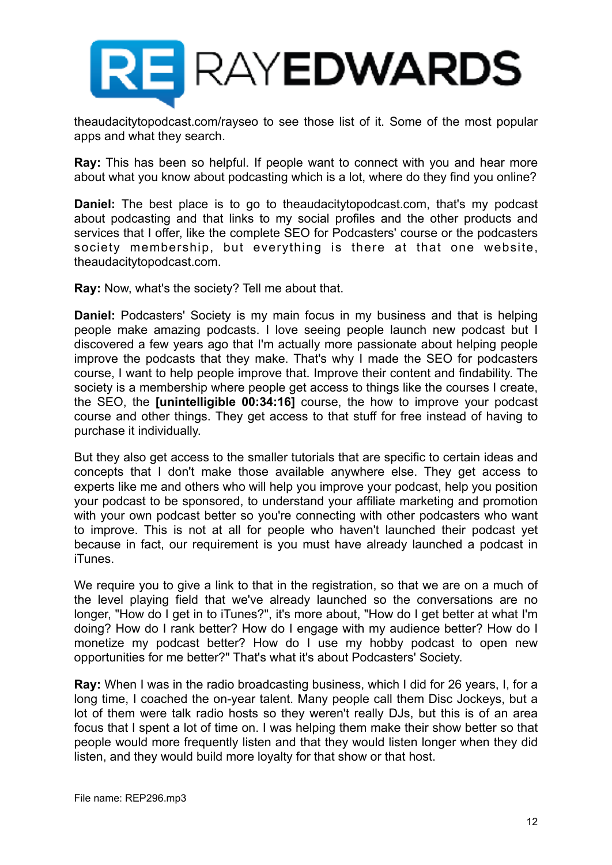

theaudacitytopodcast.com/rayseo to see those list of it. Some of the most popular apps and what they search.

**Ray:** This has been so helpful. If people want to connect with you and hear more about what you know about podcasting which is a lot, where do they find you online?

**Daniel:** The best place is to go to theaudacitytopodcast.com, that's my podcast about podcasting and that links to my social profiles and the other products and services that I offer, like the complete SEO for Podcasters' course or the podcasters society membership, but everything is there at that one website, theaudacitytopodcast.com.

**Ray:** Now, what's the society? Tell me about that.

**Daniel:** Podcasters' Society is my main focus in my business and that is helping people make amazing podcasts. I love seeing people launch new podcast but I discovered a few years ago that I'm actually more passionate about helping people improve the podcasts that they make. That's why I made the SEO for podcasters course, I want to help people improve that. Improve their content and findability. The society is a membership where people get access to things like the courses I create, the SEO, the **[unintelligible 00:34:16]** course, the how to improve your podcast course and other things. They get access to that stuff for free instead of having to purchase it individually.

But they also get access to the smaller tutorials that are specific to certain ideas and concepts that I don't make those available anywhere else. They get access to experts like me and others who will help you improve your podcast, help you position your podcast to be sponsored, to understand your affiliate marketing and promotion with your own podcast better so you're connecting with other podcasters who want to improve. This is not at all for people who haven't launched their podcast yet because in fact, our requirement is you must have already launched a podcast in iTunes.

We require you to give a link to that in the registration, so that we are on a much of the level playing field that we've already launched so the conversations are no longer, "How do I get in to iTunes?", it's more about, "How do I get better at what I'm doing? How do I rank better? How do I engage with my audience better? How do I monetize my podcast better? How do I use my hobby podcast to open new opportunities for me better?" That's what it's about Podcasters' Society.

**Ray:** When I was in the radio broadcasting business, which I did for 26 years, I, for a long time, I coached the on-year talent. Many people call them Disc Jockeys, but a lot of them were talk radio hosts so they weren't really DJs, but this is of an area focus that I spent a lot of time on. I was helping them make their show better so that people would more frequently listen and that they would listen longer when they did listen, and they would build more loyalty for that show or that host.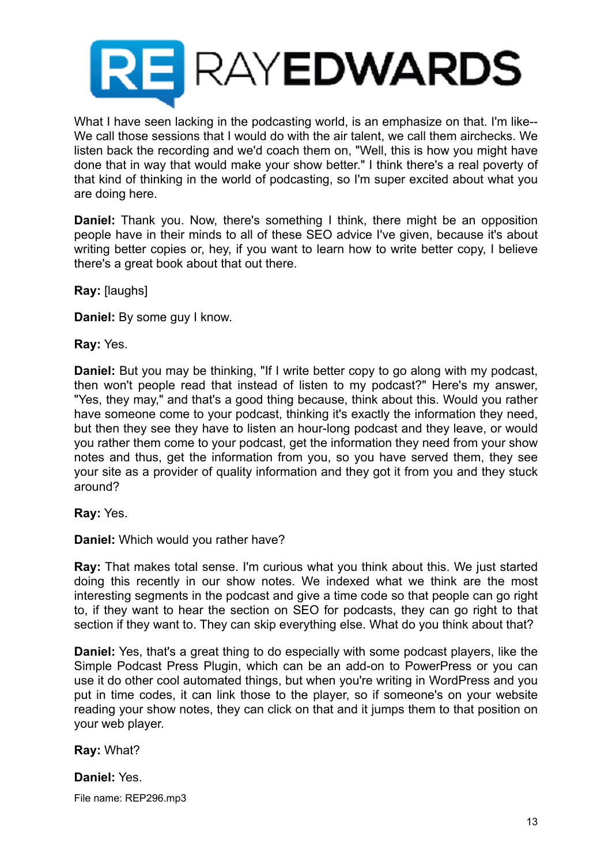

What I have seen lacking in the podcasting world, is an emphasize on that. I'm like-- We call those sessions that I would do with the air talent, we call them airchecks. We listen back the recording and we'd coach them on, "Well, this is how you might have done that in way that would make your show better." I think there's a real poverty of that kind of thinking in the world of podcasting, so I'm super excited about what you are doing here.

**Daniel:** Thank you. Now, there's something I think, there might be an opposition people have in their minds to all of these SEO advice I've given, because it's about writing better copies or, hey, if you want to learn how to write better copy, I believe there's a great book about that out there.

**Ray:** [laughs]

**Daniel:** By some guy I know.

**Ray:** Yes.

**Daniel:** But you may be thinking, "If I write better copy to go along with my podcast, then won't people read that instead of listen to my podcast?" Here's my answer, "Yes, they may," and that's a good thing because, think about this. Would you rather have someone come to your podcast, thinking it's exactly the information they need, but then they see they have to listen an hour-long podcast and they leave, or would you rather them come to your podcast, get the information they need from your show notes and thus, get the information from you, so you have served them, they see your site as a provider of quality information and they got it from you and they stuck around?

**Ray:** Yes.

**Daniel:** Which would you rather have?

**Ray:** That makes total sense. I'm curious what you think about this. We just started doing this recently in our show notes. We indexed what we think are the most interesting segments in the podcast and give a time code so that people can go right to, if they want to hear the section on SEO for podcasts, they can go right to that section if they want to. They can skip everything else. What do you think about that?

**Daniel:** Yes, that's a great thing to do especially with some podcast players, like the Simple Podcast Press Plugin, which can be an add-on to PowerPress or you can use it do other cool automated things, but when you're writing in WordPress and you put in time codes, it can link those to the player, so if someone's on your website reading your show notes, they can click on that and it jumps them to that position on your web player.

## **Ray:** What?

## **Daniel:** Yes.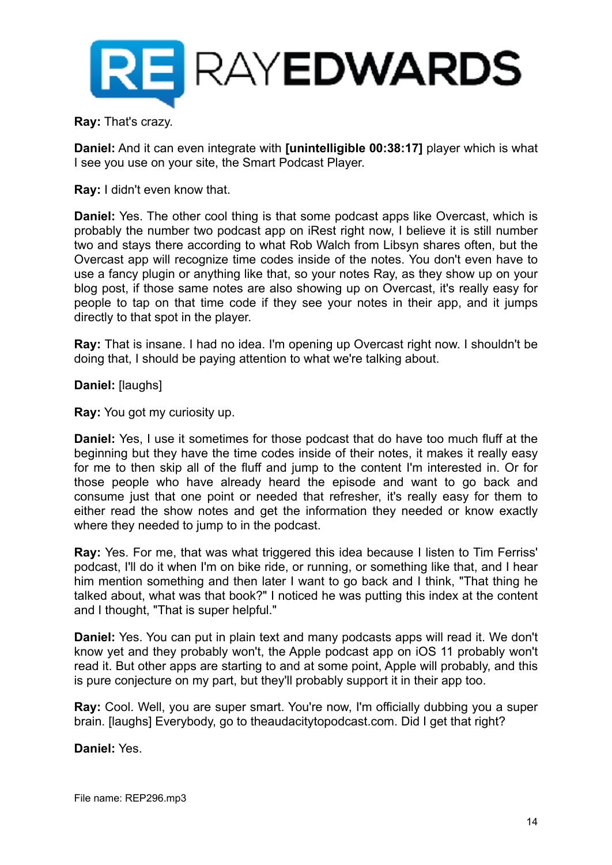

**Ray:** That's crazy.

**Daniel:** And it can even integrate with **[unintelligible 00:38:17]** player which is what I see you use on your site, the Smart Podcast Player.

**Ray:** I didn't even know that.

**Daniel:** Yes. The other cool thing is that some podcast apps like Overcast, which is probably the number two podcast app on iRest right now, I believe it is still number two and stays there according to what Rob Walch from Libsyn shares often, but the Overcast app will recognize time codes inside of the notes. You don't even have to use a fancy plugin or anything like that, so your notes Ray, as they show up on your blog post, if those same notes are also showing up on Overcast, it's really easy for people to tap on that time code if they see your notes in their app, and it jumps directly to that spot in the player.

**Ray:** That is insane. I had no idea. I'm opening up Overcast right now. I shouldn't be doing that, I should be paying attention to what we're talking about.

**Daniel:** [laughs]

**Ray:** You got my curiosity up.

**Daniel:** Yes, I use it sometimes for those podcast that do have too much fluff at the beginning but they have the time codes inside of their notes, it makes it really easy for me to then skip all of the fluff and jump to the content I'm interested in. Or for those people who have already heard the episode and want to go back and consume just that one point or needed that refresher, it's really easy for them to either read the show notes and get the information they needed or know exactly where they needed to jump to in the podcast.

**Ray:** Yes. For me, that was what triggered this idea because I listen to Tim Ferriss' podcast, I'll do it when I'm on bike ride, or running, or something like that, and I hear him mention something and then later I want to go back and I think, "That thing he talked about, what was that book?" I noticed he was putting this index at the content and I thought, "That is super helpful."

**Daniel:** Yes. You can put in plain text and many podcasts apps will read it. We don't know yet and they probably won't, the Apple podcast app on iOS 11 probably won't read it. But other apps are starting to and at some point, Apple will probably, and this is pure conjecture on my part, but they'll probably support it in their app too.

**Ray:** Cool. Well, you are super smart. You're now, I'm officially dubbing you a super brain. [laughs] Everybody, go to theaudacitytopodcast.com. Did I get that right?

**Daniel:** Yes.